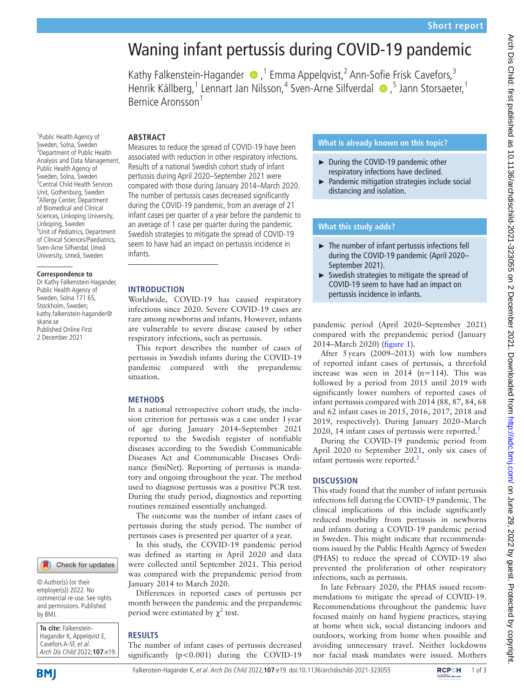# Waning infant pertussis during COVID-19 pandemic

Kathy Falkenstein-Hagander  $\bigcirc$ , <sup>1</sup> Emma Appelqvist, <sup>2</sup> Ann-Sofie Frisk Cavefors, <sup>3</sup> Henrik Källberg,<sup>1</sup> Lennart Jan Nilsson,<sup>4</sup> Sven-Arne Silfverdal (D, 5 Jann Storsaeter, 1 Bernice Aronsson<sup>1</sup>

### **ABSTRACT**

<sup>1</sup>Public Health Agency of Sweden, Solna, Sweden <sup>2</sup> Department of Public Health Analysis and Data Management, Public Health Agency of Sweden, Solna, Sweden 3 Central Child Health Services Unit, Gothenburg, Sweden 4 Allergy Center, Department of Biomedical and Clinical Sciences, Linkoping University, Linkoping, Sweden 5 Unit of Pediatrics, Department of Clinical Sciences/Paediatrics, Sven-Arne Silfverdal, Umeå University, Umeå, Sweden

#### **Correspondence to**

Dr Kathy Falkenstein-Hagander, Public Health Agency of Sweden, Solna 171 65, Stockholm, Sweden; kathy.falkenstein-hagander@ skane.se Published Online First 2 December 2021

# Measures to reduce the spread of COVID-19 have been

associated with reduction in other respiratory infections. Results of a national Swedish cohort study of infant pertussis during April 2020–September 2021 were compared with those during January 2014–March 2020. The number of pertussis cases decreased significantly during the COVID-19 pandemic, from an average of 21 infant cases per quarter of a year before the pandemic to an average of 1 case per quarter during the pandemic. Swedish strategies to mitigate the spread of COVID-19 seem to have had an impact on pertussis incidence in infants.

#### **INTRODUCTION**

Worldwide, COVID-19 has caused respiratory infections since 2020. Severe COVID-19 cases are rare among newborns and infants. However, infants are vulnerable to severe disease caused by other respiratory infections, such as pertussis.

This report describes the number of cases of pertussis in Swedish infants during the COVID-19 pandemic compared with the prepandemic situation.

### **METHODS**

In a national retrospective cohort study, the inclusion criterion for pertussis was a case under 1year of age during January 2014–September 2021 reported to the Swedish register of notifiable diseases according to the Swedish Communicable Diseases Act and Communicable Diseases Ordinance (SmiNet). Reporting of pertussis is mandatory and ongoing throughout the year. The method used to diagnose pertussis was a positive PCR test. During the study period, diagnostics and reporting routines remained essentially unchanged.

The outcome was the number of infant cases of pertussis during the study period. The number of pertussis cases is presented per quarter of a year.

In this study, the COVID-19 pandemic period was defined as starting in April 2020 and data were collected until September 2021. This period was compared with the prepandemic period from January 2014 to March 2020.

Differences in reported cases of pertussis per month between the pandemic and the prepandemic period were estimated by  $\chi^2$  test.

# **RESULTS**

The number of infant cases of pertussis decreased significantly  $(p<0.001)$  during the COVID-19

# **What is already known on this topic?**

- ► During the COVID-19 pandemic other respiratory infections have declined.
- ► Pandemic mitigation strategies include social distancing and isolation.

# **What this study adds?**

- ► The number of infant pertussis infections fell during the COVID-19 pandemic (April 2020– September 2021).
- ► Swedish strategies to mitigate the spread of COVID-19 seem to have had an impact on pertussis incidence in infants.

pandemic period (April 2020–September 2021) compared with the prepandemic period (January 2014–March 2020) ([figure](#page-1-0) 1).

After 5years (2009–2013) with low numbers of reported infant cases of pertussis, a threefold increase was seen in 2014 (n=114). This was followed by a period from 2015 until 2019 with significantly lower numbers of reported cases of infant pertussis compared with 2014 (88, 87, 84, 68 and 62 infant cases in 2015, 2016, 2017, 2018 and 2019, respectively). During January 2020–March 2020, [1](#page-2-0)4 infant cases of pertussis were reported. $<sup>1</sup>$ </sup>

During the COVID-19 pandemic period from April 2020 to September 2021, only six cases of infant pertussis were reported.<sup>[2](#page-2-1)</sup>

### **DISCUSSION**

This study found that the number of infant pertussis infections fell during the COVID-19 pandemic. The clinical implications of this include significantly reduced morbidity from pertussis in newborns and infants during a COVID-19 pandemic period in Sweden. This might indicate that recommendations issued by the Public Health Agency of Sweden (PHAS) to reduce the spread of COVID-19 also prevented the proliferation of other respiratory infections, such as pertussis.

In late February 2020, the PHAS issued recommendations to mitigate the spread of COVID-19. Recommendations throughout the pandemic have focused mainly on hand hygiene practices, staying at home when sick, social distancing indoors and outdoors, working from home when possible and avoiding unnecessary travel. Neither lockdowns nor facial mask mandates were issued. Mothers

**BMI** 

by BMJ.

**To cite:** Falkenstein-Hagander K, Appelqvist E, Cavefors A-SF, et al. Arch Dis Child 2022;**107**:e19.

© Author(s) (or their employer(s)) 2022. No commercial re-use. See rights and permissions. Published

Check for updates

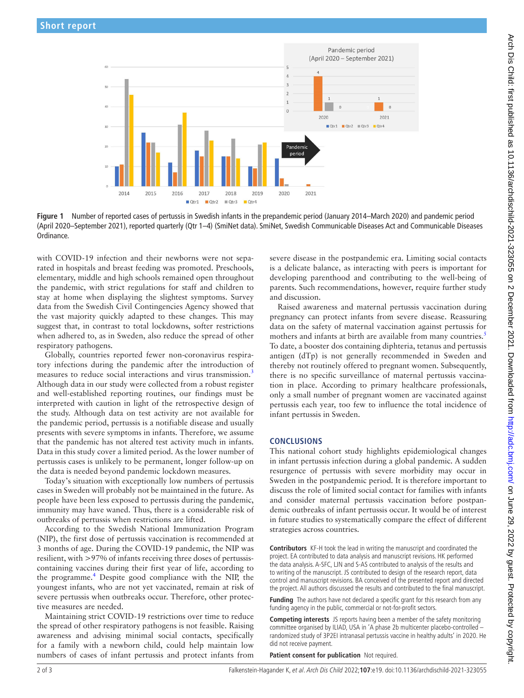

**Figure 1** Number of reported cases of pertussis in Swedish infants in the prepandemic period (January 2014–March 2020) and pandemic period (April 2020–September 2021), reported quarterly (Qtr 1–4) (SmiNet data). SmiNet, Swedish Communicable Diseases Act and Communicable Diseases Ordinance.

with COVID-19 infection and their newborns were not separated in hospitals and breast feeding was promoted. Preschools, elementary, middle and high schools remained open throughout the pandemic, with strict regulations for staff and children to stay at home when displaying the slightest symptoms. Survey data from the Swedish Civil Contingencies Agency showed that the vast majority quickly adapted to these changes. This may suggest that, in contrast to total lockdowns, softer restrictions when adhered to, as in Sweden, also reduce the spread of other respiratory pathogens.

Globally, countries reported fewer non-coronavirus respiratory infections during the pandemic after the introduction of measures to reduce social interactions and virus transmission.<sup>3</sup> Although data in our study were collected from a robust register and well-established reporting routines, our findings must be interpreted with caution in light of the retrospective design of the study. Although data on test activity are not available for the pandemic period, pertussis is a notifiable disease and usually presents with severe symptoms in infants. Therefore, we assume that the pandemic has not altered test activity much in infants. Data in this study cover a limited period. As the lower number of pertussis cases is unlikely to be permanent, longer follow-up on the data is needed beyond pandemic lockdown measures.

Today's situation with exceptionally low numbers of pertussis cases in Sweden will probably not be maintained in the future. As people have been less exposed to pertussis during the pandemic, immunity may have waned. Thus, there is a considerable risk of outbreaks of pertussis when restrictions are lifted.

According to the Swedish National Immunization Program (NIP), the first dose of pertussis vaccination is recommended at 3 months of age. During the COVID-19 pandemic, the NIP was resilient, with >97% of infants receiving three doses of pertussiscontaining vaccines during their first year of life, according to the programme.<sup>[4](#page-2-3)</sup> Despite good compliance with the NIP, the youngest infants, who are not yet vaccinated, remain at risk of severe pertussis when outbreaks occur. Therefore, other protective measures are needed.

Maintaining strict COVID-19 restrictions over time to reduce the spread of other respiratory pathogens is not feasible. Raising awareness and advising minimal social contacts, specifically for a family with a newborn child, could help maintain low numbers of cases of infant pertussis and protect infants from

<span id="page-1-0"></span>severe disease in the postpandemic era. Limiting social contacts is a delicate balance, as interacting with peers is important for developing parenthood and contributing to the well-being of parents. Such recommendations, however, require further study and discussion.

Raised awareness and maternal pertussis vaccination during pregnancy can protect infants from severe disease. Reassuring data on the safety of maternal vaccination against pertussis for mothers and infants at birth are available from many countries.<sup>[5](#page-2-4)</sup> To date, a booster dos containing diphteria, tetanus and pertussis antigen (dTp) is not generally recommended in Sweden and thereby not routinely offered to pregnant women. Subsequently, there is no specific surveillance of maternal pertussis vaccination in place. According to primary healthcare professionals, only a small number of pregnant women are vaccinated against pertussis each year, too few to influence the total incidence of infant pertussis in Sweden.

# **CONCLUSIONS**

This national cohort study highlights epidemiological changes in infant pertussis infection during a global pandemic. A sudden resurgence of pertussis with severe morbidity may occur in Sweden in the postpandemic period. It is therefore important to discuss the role of limited social contact for families with infants and consider maternal pertussis vaccination before postpandemic outbreaks of infant pertussis occur. It would be of interest in future studies to systematically compare the effect of different strategies across countries.

**Contributors** KF-H took the lead in writing the manuscript and coordinated the project. EA contributed to data analysis and manuscript revisions. HK performed the data analysis. A-SFC, LJN and S-AS contributed to analysis of the results and to writing of the manuscript. JS contributed to design of the research report, data control and manuscript revisions. BA conceived of the presented report and directed the project. All authors discussed the results and contributed to the final manuscript.

**Funding** The authors have not declared a specific grant for this research from any funding agency in the public, commercial or not-for-profit sectors.

**Competing interests** JS reports having been a member of the safety monitoring committee organised by ILIAD, USA in 'A phase 2b multicenter placebo-controlled – randomized study of 3P2EI intranasal pertussis vaccine in healthy adults' in 2020. He did not receive payment.

**Patient consent for publication** Not required.